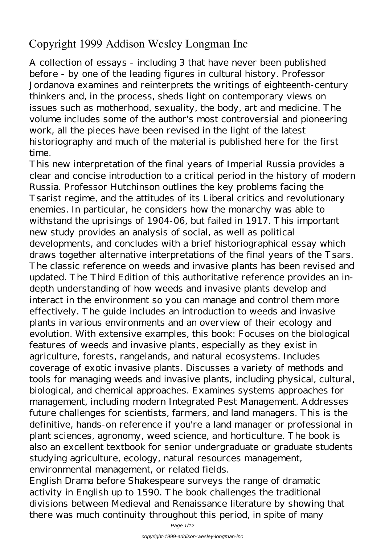# **Copyright 1999 Addison Wesley Longman Inc**

A collection of essays - including 3 that have never been published before - by one of the leading figures in cultural history. Professor Jordanova examines and reinterprets the writings of eighteenth-century thinkers and, in the process, sheds light on contemporary views on issues such as motherhood, sexuality, the body, art and medicine. The volume includes some of the author's most controversial and pioneering work, all the pieces have been revised in the light of the latest historiography and much of the material is published here for the first time.

This new interpretation of the final years of Imperial Russia provides a clear and concise introduction to a critical period in the history of modern Russia. Professor Hutchinson outlines the key problems facing the Tsarist regime, and the attitudes of its Liberal critics and revolutionary enemies. In particular, he considers how the monarchy was able to withstand the uprisings of 1904-06, but failed in 1917. This important new study provides an analysis of social, as well as political developments, and concludes with a brief historiographical essay which draws together alternative interpretations of the final years of the Tsars. The classic reference on weeds and invasive plants has been revised and updated. The Third Edition of this authoritative reference provides an indepth understanding of how weeds and invasive plants develop and interact in the environment so you can manage and control them more effectively. The guide includes an introduction to weeds and invasive plants in various environments and an overview of their ecology and evolution. With extensive examples, this book: Focuses on the biological features of weeds and invasive plants, especially as they exist in agriculture, forests, rangelands, and natural ecosystems. Includes coverage of exotic invasive plants. Discusses a variety of methods and tools for managing weeds and invasive plants, including physical, cultural, biological, and chemical approaches. Examines systems approaches for management, including modern Integrated Pest Management. Addresses future challenges for scientists, farmers, and land managers. This is the definitive, hands-on reference if you're a land manager or professional in plant sciences, agronomy, weed science, and horticulture. The book is also an excellent textbook for senior undergraduate or graduate students studying agriculture, ecology, natural resources management, environmental management, or related fields.

English Drama before Shakespeare surveys the range of dramatic activity in English up to 1590. The book challenges the traditional divisions between Medieval and Renaissance literature by showing that there was much continuity throughout this period, in spite of many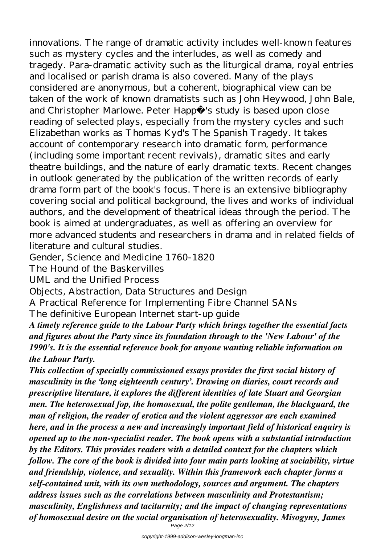innovations. The range of dramatic activity includes well-known features such as mystery cycles and the interludes, as well as comedy and tragedy. Para-dramatic activity such as the liturgical drama, royal entries and localised or parish drama is also covered. Many of the plays considered are anonymous, but a coherent, biographical view can be taken of the work of known dramatists such as John Heywood, John Bale, and Christopher Marlowe. Peter Happé 's study is based upon close reading of selected plays, especially from the mystery cycles and such Elizabethan works as Thomas Kyd's The Spanish Tragedy. It takes account of contemporary research into dramatic form, performance (including some important recent revivals), dramatic sites and early theatre buildings, and the nature of early dramatic texts. Recent changes in outlook generated by the publication of the written records of early drama form part of the book's focus. There is an extensive bibliography covering social and political background, the lives and works of individual authors, and the development of theatrical ideas through the period. The book is aimed at undergraduates, as well as offering an overview for more advanced students and researchers in drama and in related fields of literature and cultural studies.

Gender, Science and Medicine 1760-1820

The Hound of the Baskervilles

UML and the Unified Process

Objects, Abstraction, Data Structures and Design

A Practical Reference for Implementing Fibre Channel SANs

The definitive European Internet start-up guide

*A timely reference guide to the Labour Party which brings together the essential facts and figures about the Party since its foundation through to the 'New Labour' of the 1990's. It is the essential reference book for anyone wanting reliable information on the Labour Party.*

*This collection of specially commissioned essays provides the first social history of masculinity in the 'long eighteenth century'. Drawing on diaries, court records and prescriptive literature, it explores the different identities of late Stuart and Georgian men. The heterosexual fop, the homosexual, the polite gentleman, the blackguard, the man of religion, the reader of erotica and the violent aggressor are each examined here, and in the process a new and increasingly important field of historical enquiry is opened up to the non-specialist reader. The book opens with a substantial introduction by the Editors. This provides readers with a detailed context for the chapters which follow. The core of the book is divided into four main parts looking at sociability, virtue and friendship, violence, and sexuality. Within this framework each chapter forms a self-contained unit, with its own methodology, sources and argument. The chapters address issues such as the correlations between masculinity and Protestantism; masculinity, Englishness and taciturnity; and the impact of changing representations of homosexual desire on the social organisation of heterosexuality. Misogyny, James*

Page 2/12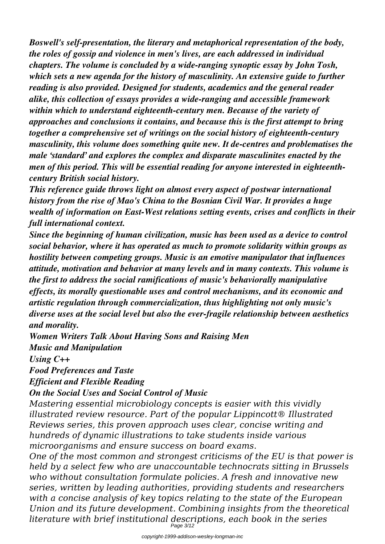*Boswell's self-presentation, the literary and metaphorical representation of the body, the roles of gossip and violence in men's lives, are each addressed in individual chapters. The volume is concluded by a wide-ranging synoptic essay by John Tosh, which sets a new agenda for the history of masculinity. An extensive guide to further reading is also provided. Designed for students, academics and the general reader alike, this collection of essays provides a wide-ranging and accessible framework within which to understand eighteenth-century men. Because of the variety of approaches and conclusions it contains, and because this is the first attempt to bring together a comprehensive set of writings on the social history of eighteenth-century masculinity, this volume does something quite new. It de-centres and problematises the male 'standard' and explores the complex and disparate masculinites enacted by the men of this period. This will be essential reading for anyone interested in eighteenthcentury British social history.*

*This reference guide throws light on almost every aspect of postwar international history from the rise of Mao's China to the Bosnian Civil War. It provides a huge wealth of information on East-West relations setting events, crises and conflicts in their full international context.*

*Since the beginning of human civilization, music has been used as a device to control social behavior, where it has operated as much to promote solidarity within groups as hostility between competing groups. Music is an emotive manipulator that influences attitude, motivation and behavior at many levels and in many contexts. This volume is the first to address the social ramifications of music's behaviorally manipulative effects, its morally questionable uses and control mechanisms, and its economic and artistic regulation through commercialization, thus highlighting not only music's diverse uses at the social level but also the ever-fragile relationship between aesthetics and morality.*

*Women Writers Talk About Having Sons and Raising Men Music and Manipulation*

*Using C++*

*Food Preferences and Taste*

*Efficient and Flexible Reading*

*On the Social Uses and Social Control of Music*

*Mastering essential microbiology concepts is easier with this vividly illustrated review resource. Part of the popular Lippincott® Illustrated Reviews series, this proven approach uses clear, concise writing and hundreds of dynamic illustrations to take students inside various microorganisms and ensure success on board exams.*

*One of the most common and strongest criticisms of the EU is that power is held by a select few who are unaccountable technocrats sitting in Brussels who without consultation formulate policies. A fresh and innovative new series, written by leading authorities, providing students and researchers with a concise analysis of key topics relating to the state of the European Union and its future development. Combining insights from the theoretical literature with brief institutional descriptions, each book in the series* Page 3/12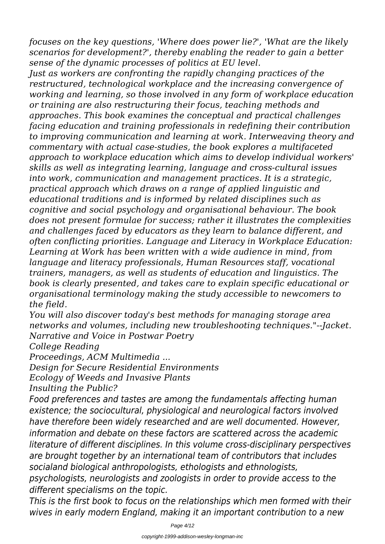*focuses on the key questions, 'Where does power lie?', 'What are the likely scenarios for development?', thereby enabling the reader to gain a better sense of the dynamic processes of politics at EU level.*

*Just as workers are confronting the rapidly changing practices of the restructured, technological workplace and the increasing convergence of working and learning, so those involved in any form of workplace education or training are also restructuring their focus, teaching methods and approaches. This book examines the conceptual and practical challenges facing education and training professionals in redefining their contribution to improving communication and learning at work. Interweaving theory and commentary with actual case-studies, the book explores a multifaceted approach to workplace education which aims to develop individual workers' skills as well as integrating learning, language and cross-cultural issues into work, communication and management practices. It is a strategic, practical approach which draws on a range of applied linguistic and educational traditions and is informed by related disciplines such as cognitive and social psychology and organisational behaviour. The book does not present formulae for success; rather it illustrates the complexities and challenges faced by educators as they learn to balance different, and often conflicting priorities. Language and Literacy in Workplace Education: Learning at Work has been written with a wide audience in mind, from language and literacy professionals, Human Resources staff, vocational trainers, managers, as well as students of education and linguistics. The book is clearly presented, and takes care to explain specific educational or organisational terminology making the study accessible to newcomers to the field.*

*You will also discover today's best methods for managing storage area networks and volumes, including new troubleshooting techniques."--Jacket. Narrative and Voice in Postwar Poetry*

*College Reading*

*Proceedings, ACM Multimedia ...*

*Design for Secure Residential Environments*

*Ecology of Weeds and Invasive Plants*

*Insulting the Public?*

*Food preferences and tastes are among the fundamentals affecting human existence; the sociocultural, physiological and neurological factors involved have therefore been widely researched and are well documented. However, information and debate on these factors are scattered across the academic literature of different disciplines. In this volume cross-disciplinary perspectives are brought together by an international team of contributors that includes socialand biological anthropologists, ethologists and ethnologists,*

*psychologists, neurologists and zoologists in order to provide access to the different specialisms on the topic.*

*This is the first book to focus on the relationships which men formed with their wives in early modern England, making it an important contribution to a new*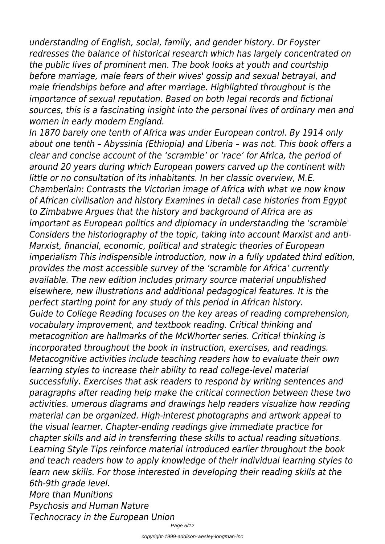*understanding of English, social, family, and gender history. Dr Foyster redresses the balance of historical research which has largely concentrated on the public lives of prominent men. The book looks at youth and courtship before marriage, male fears of their wives' gossip and sexual betrayal, and male friendships before and after marriage. Highlighted throughout is the importance of sexual reputation. Based on both legal records and fictional sources, this is a fascinating insight into the personal lives of ordinary men and women in early modern England.*

*In 1870 barely one tenth of Africa was under European control. By 1914 only about one tenth – Abyssinia (Ethiopia) and Liberia – was not. This book offers a clear and concise account of the 'scramble' or 'race' for Africa, the period of around 20 years during which European powers carved up the continent with little or no consultation of its inhabitants. In her classic overview, M.E. Chamberlain: Contrasts the Victorian image of Africa with what we now know of African civilisation and history Examines in detail case histories from Egypt to Zimbabwe Argues that the history and background of Africa are as important as European politics and diplomacy in understanding the 'scramble' Considers the historiography of the topic, taking into account Marxist and anti-Marxist, financial, economic, political and strategic theories of European imperialism This indispensible introduction, now in a fully updated third edition, provides the most accessible survey of the 'scramble for Africa' currently available. The new edition includes primary source material unpublished elsewhere, new illustrations and additional pedagogical features. It is the perfect starting point for any study of this period in African history. Guide to College Reading focuses on the key areas of reading comprehension, vocabulary improvement, and textbook reading. Critical thinking and metacognition are hallmarks of the McWhorter series. Critical thinking is incorporated throughout the book in instruction, exercises, and readings. Metacognitive activities include teaching readers how to evaluate their own learning styles to increase their ability to read college-level material successfully. Exercises that ask readers to respond by writing sentences and paragraphs after reading help make the critical connection between these two activities. umerous diagrams and drawings help readers visualize how reading material can be organized. High-interest photographs and artwork appeal to the visual learner. Chapter-ending readings give immediate practice for chapter skills and aid in transferring these skills to actual reading situations. Learning Style Tips reinforce material introduced earlier throughout the book and teach readers how to apply knowledge of their individual learning styles to learn new skills. For those interested in developing their reading skills at the 6th-9th grade level. More than Munitions*

*Psychosis and Human Nature Technocracy in the European Union*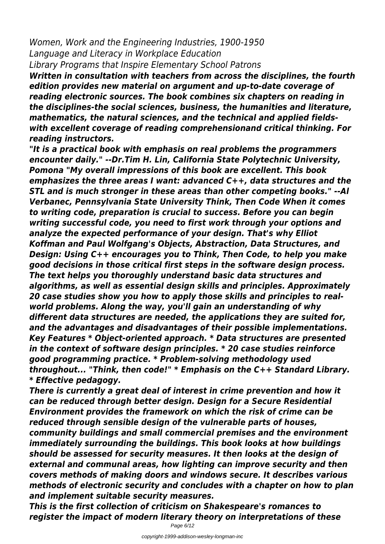*Women, Work and the Engineering Industries, 1900-1950 Language and Literacy in Workplace Education Library Programs that Inspire Elementary School Patrons*

*Written in consultation with teachers from across the disciplines, the fourth edition provides new material on argument and up-to-date coverage of reading electronic sources. The book combines six chapters on reading in the disciplines-the social sciences, business, the humanities and literature, mathematics, the natural sciences, and the technical and applied fieldswith excellent coverage of reading comprehensionand critical thinking. For reading instructors.*

*"It is a practical book with emphasis on real problems the programmers encounter daily." --Dr.Tim H. Lin, California State Polytechnic University, Pomona "My overall impressions of this book are excellent. This book emphasizes the three areas I want: advanced C++, data structures and the STL and is much stronger in these areas than other competing books." --Al Verbanec, Pennsylvania State University Think, Then Code When it comes to writing code, preparation is crucial to success. Before you can begin writing successful code, you need to first work through your options and analyze the expected performance of your design. That's why Elliot Koffman and Paul Wolfgang's Objects, Abstraction, Data Structures, and Design: Using C++ encourages you to Think, Then Code, to help you make good decisions in those critical first steps in the software design process. The text helps you thoroughly understand basic data structures and algorithms, as well as essential design skills and principles. Approximately 20 case studies show you how to apply those skills and principles to realworld problems. Along the way, you'll gain an understanding of why different data structures are needed, the applications they are suited for, and the advantages and disadvantages of their possible implementations. Key Features \* Object-oriented approach. \* Data structures are presented in the context of software design principles. \* 20 case studies reinforce good programming practice. \* Problem-solving methodology used throughout... "Think, then code!" \* Emphasis on the C++ Standard Library. \* Effective pedagogy.*

*There is currently a great deal of interest in crime prevention and how it can be reduced through better design. Design for a Secure Residential Environment provides the framework on which the risk of crime can be reduced through sensible design of the vulnerable parts of houses, community buildings and small commercial premises and the environment immediately surrounding the buildings. This book looks at how buildings should be assessed for security measures. It then looks at the design of external and communal areas, how lighting can improve security and then covers methods of making doors and windows secure. It describes various methods of electronic security and concludes with a chapter on how to plan and implement suitable security measures.*

*This is the first collection of criticism on Shakespeare's romances to register the impact of modern literary theory on interpretations of these*

Page 6/12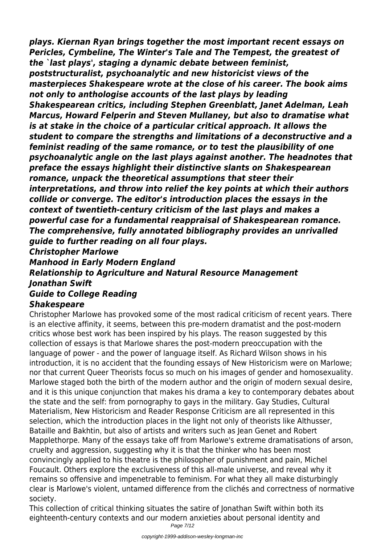*plays. Kiernan Ryan brings together the most important recent essays on Pericles, Cymbeline, The Winter's Tale and The Tempest, the greatest of the `last plays', staging a dynamic debate between feminist, poststructuralist, psychoanalytic and new historicist views of the masterpieces Shakespeare wrote at the close of his career. The book aims not only to anthologise accounts of the last plays by leading Shakespearean critics, including Stephen Greenblatt, Janet Adelman, Leah Marcus, Howard Felperin and Steven Mullaney, but also to dramatise what is at stake in the choice of a particular critical approach. It allows the student to compare the strengths and limitations of a deconstructive and a feminist reading of the same romance, or to test the plausibility of one psychoanalytic angle on the last plays against another. The headnotes that preface the essays highlight their distinctive slants on Shakespearean romance, unpack the theoretical assumptions that steer their interpretations, and throw into relief the key points at which their authors collide or converge. The editor's introduction places the essays in the context of twentieth-century criticism of the last plays and makes a powerful case for a fundamental reappraisal of Shakespearean romance. The comprehensive, fully annotated bibliography provides an unrivalled guide to further reading on all four plays. Christopher Marlowe Manhood in Early Modern England*

## *Relationship to Agriculture and Natural Resource Management Jonathan Swift Guide to College Reading*

## *Shakespeare*

Christopher Marlowe has provoked some of the most radical criticism of recent years. There is an elective affinity, it seems, between this pre-modern dramatist and the post-modern critics whose best work has been inspired by his plays. The reason suggested by this collection of essays is that Marlowe shares the post-modern preoccupation with the language of power - and the power of language itself. As Richard Wilson shows in his introduction, it is no accident that the founding essays of New Historicism were on Marlowe; nor that current Queer Theorists focus so much on his images of gender and homosexuality. Marlowe staged both the birth of the modern author and the origin of modern sexual desire, and it is this unique conjunction that makes his drama a key to contemporary debates about the state and the self: from pornography to gays in the military. Gay Studies, Cultural Materialism, New Historicism and Reader Response Criticism are all represented in this selection, which the introduction places in the light not only of theorists like Althusser, Bataille and Bakhtin, but also of artists and writers such as Jean Genet and Robert Mapplethorpe. Many of the essays take off from Marlowe's extreme dramatisations of arson, cruelty and aggression, suggesting why it is that the thinker who has been most convincingly applied to his theatre is the philosopher of punishment and pain, Michel Foucault. Others explore the exclusiveness of this all-male universe, and reveal why it remains so offensive and impenetrable to feminism. For what they all make disturbingly clear is Marlowe's violent, untamed difference from the clichés and correctness of normative society.

This collection of critical thinking situates the satire of Jonathan Swift within both its eighteenth-century contexts and our modern anxieties about personal identity and Page 7/12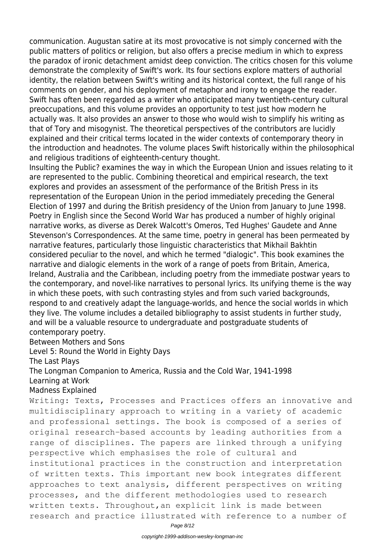communication. Augustan satire at its most provocative is not simply concerned with the public matters of politics or religion, but also offers a precise medium in which to express the paradox of ironic detachment amidst deep conviction. The critics chosen for this volume demonstrate the complexity of Swift's work. Its four sections explore matters of authorial identity, the relation between Swift's writing and its historical context, the full range of his comments on gender, and his deployment of metaphor and irony to engage the reader. Swift has often been regarded as a writer who anticipated many twentieth-century cultural preoccupations, and this volume provides an opportunity to test just how modern he actually was. It also provides an answer to those who would wish to simplify his writing as that of Tory and misogynist. The theoretical perspectives of the contributors are lucidly explained and their critical terms located in the wider contexts of contemporary theory in the introduction and headnotes. The volume places Swift historically within the philosophical and religious traditions of eighteenth-century thought.

Insulting the Public? examines the way in which the European Union and issues relating to it are represented to the public. Combining theoretical and empirical research, the text explores and provides an assessment of the performance of the British Press in its representation of the European Union in the period immediately preceding the General Election of 1997 and during the British presidency of the Union from January to June 1998. Poetry in English since the Second World War has produced a number of highly original narrative works, as diverse as Derek Walcott's Omeros, Ted Hughes' Gaudete and Anne Stevenson's Correspondences. At the same time, poetry in general has been permeated by narrative features, particularly those linguistic characteristics that Mikhail Bakhtin considered peculiar to the novel, and which he termed "dialogic". This book examines the narrative and dialogic elements in the work of a range of poets from Britain, America, Ireland, Australia and the Caribbean, including poetry from the immediate postwar years to the contemporary, and novel-like narratives to personal lyrics. Its unifying theme is the way in which these poets, with such contrasting styles and from such varied backgrounds, respond to and creatively adapt the language-worlds, and hence the social worlds in which they live. The volume includes a detailed bibliography to assist students in further study, and will be a valuable resource to undergraduate and postgraduate students of contemporary poetry.

#### Between Mothers and Sons

Level 5: Round the World in Eighty Days

The Last Plays

The Longman Companion to America, Russia and the Cold War, 1941-1998 Learning at Work

### Madness Explained

Writing: Texts, Processes and Practices offers an innovative and multidisciplinary approach to writing in a variety of academic and professional settings. The book is composed of a series of original research-based accounts by leading authorities from a range of disciplines. The papers are linked through a unifying perspective which emphasises the role of cultural and institutional practices in the construction and interpretation of written texts. This important new book integrates different approaches to text analysis, different perspectives on writing processes, and the different methodologies used to research written texts. Throughout,an explicit link is made between research and practice illustrated with reference to a number of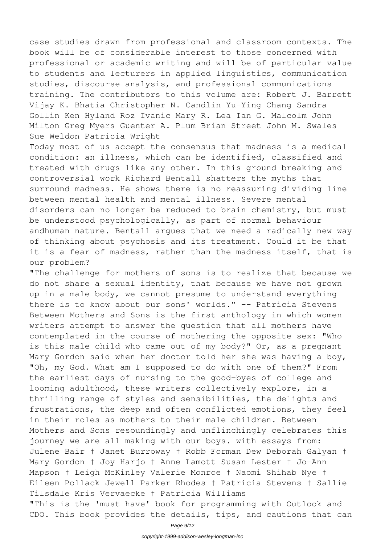case studies drawn from professional and classroom contexts. The book will be of considerable interest to those concerned with professional or academic writing and will be of particular value to students and lecturers in applied linguistics, communication studies, discourse analysis, and professional communications training. The contributors to this volume are: Robert J. Barrett Vijay K. Bhatia Christopher N. Candlin Yu-Ying Chang Sandra Gollin Ken Hyland Roz Ivanic Mary R. Lea Ian G. Malcolm John Milton Greg Myers Guenter A. Plum Brian Street John M. Swales Sue Weldon Patricia Wright

Today most of us accept the consensus that madness is a medical condition: an illness, which can be identified, classified and treated with drugs like any other. In this ground breaking and controversial work Richard Bentall shatters the myths that surround madness. He shows there is no reassuring dividing line between mental health and mental illness. Severe mental disorders can no longer be reduced to brain chemistry, but must be understood psychologically, as part of normal behaviour andhuman nature. Bentall argues that we need a radically new way of thinking about psychosis and its treatment. Could it be that it is a fear of madness, rather than the madness itself, that is our problem?

"The challenge for mothers of sons is to realize that because we do not share a sexual identity, that because we have not grown up in a male body, we cannot presume to understand everything there is to know about our sons' worlds." -- Patricia Stevens Between Mothers and Sons is the first anthology in which women writers attempt to answer the question that all mothers have contemplated in the course of mothering the opposite sex: "Who is this male child who came out of my body?" Or, as a pregnant Mary Gordon said when her doctor told her she was having a boy, "Oh, my God. What am I supposed to do with one of them?" From the earliest days of nursing to the good-byes of college and looming adulthood, these writers collectively explore, in a thrilling range of styles and sensibilities, the delights and frustrations, the deep and often conflicted emotions, they feel in their roles as mothers to their male children. Between Mothers and Sons resoundingly and unflinchingly celebrates this journey we are all making with our boys. with essays from: Julene Bair † Janet Burroway † Robb Forman Dew Deborah Galyan † Mary Gordon † Joy Harjo † Anne Lamott Susan Lester † Jo-Ann Mapson † Leigh McKinley Valerie Monroe † Naomi Shihab Nye † Eileen Pollack Jewell Parker Rhodes † Patricia Stevens † Sallie Tilsdale Kris Vervaecke † Patricia Williams "This is the 'must have' book for programming with Outlook and CDO. This book provides the details, tips, and cautions that can

Page 9/12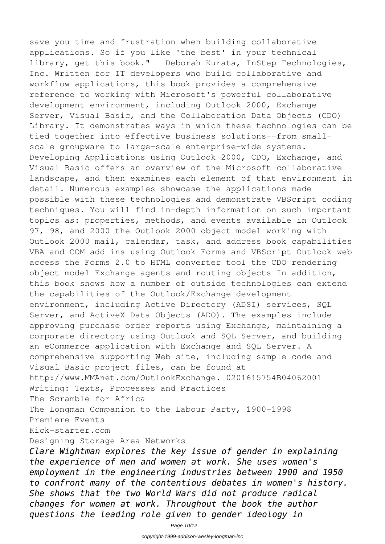save you time and frustration when building collaborative applications. So if you like 'the best' in your technical library, get this book." --Deborah Kurata, InStep Technologies, Inc. Written for IT developers who build collaborative and workflow applications, this book provides a comprehensive reference to working with Microsoft's powerful collaborative development environment, including Outlook 2000, Exchange Server, Visual Basic, and the Collaboration Data Objects (CDO) Library. It demonstrates ways in which these technologies can be tied together into effective business solutions--from smallscale groupware to large-scale enterprise-wide systems. Developing Applications using Outlook 2000, CDO, Exchange, and Visual Basic offers an overview of the Microsoft collaborative landscape, and then examines each element of that environment in detail. Numerous examples showcase the applications made possible with these technologies and demonstrate VBScript coding techniques. You will find in-depth information on such important topics as: properties, methods, and events available in Outlook 97, 98, and 2000 the Outlook 2000 object model working with Outlook 2000 mail, calendar, task, and address book capabilities VBA and COM add-ins using Outlook Forms and VBScript Outlook web access the Forms 2.0 to HTML converter tool the CDO rendering object model Exchange agents and routing objects In addition, this book shows how a number of outside technologies can extend the capabilities of the Outlook/Exchange development environment, including Active Directory (ADSI) services, SQL Server, and ActiveX Data Objects (ADO). The examples include approving purchase order reports using Exchange, maintaining a corporate directory using Outlook and SQL Server, and building an eCommerce application with Exchange and SQL Server. A comprehensive supporting Web site, including sample code and Visual Basic project files, can be found at http://www.MMAnet.com/OutlookExchange. 0201615754B04062001 Writing: Texts, Processes and Practices The Scramble for Africa The Longman Companion to the Labour Party, 1900-1998 Premiere Events Kick-starter.com Designing Storage Area Networks

*Clare Wightman explores the key issue of gender in explaining the experience of men and women at work. She uses women's employment in the engineering industries between 1900 and 1950 to confront many of the contentious debates in women's history. She shows that the two World Wars did not produce radical changes for women at work. Throughout the book the author questions the leading role given to gender ideology in*

Page 10/12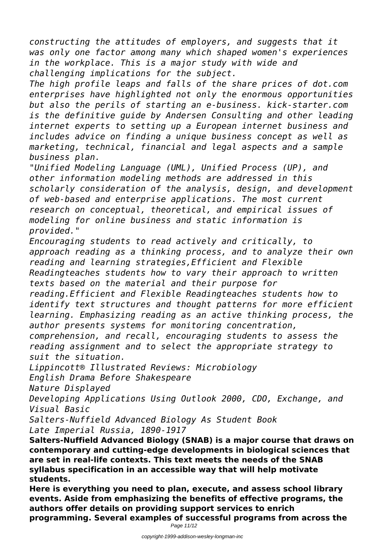*constructing the attitudes of employers, and suggests that it was only one factor among many which shaped women's experiences in the workplace. This is a major study with wide and challenging implications for the subject.*

*The high profile leaps and falls of the share prices of dot.com enterprises have highlighted not only the enormous opportunities but also the perils of starting an e-business. kick-starter.com is the definitive guide by Andersen Consulting and other leading internet experts to setting up a European internet business and includes advice on finding a unique business concept as well as marketing, technical, financial and legal aspects and a sample business plan.*

*"Unified Modeling Language (UML), Unified Process (UP), and other information modeling methods are addressed in this scholarly consideration of the analysis, design, and development of web-based and enterprise applications. The most current research on conceptual, theoretical, and empirical issues of modeling for online business and static information is provided."*

*Encouraging students to read actively and critically, to approach reading as a thinking process, and to analyze their own reading and learning strategies,Efficient and Flexible Readingteaches students how to vary their approach to written texts based on the material and their purpose for reading.Efficient and Flexible Readingteaches students how to identify text structures and thought patterns for more efficient learning. Emphasizing reading as an active thinking process, the*

*author presents systems for monitoring concentration, comprehension, and recall, encouraging students to assess the reading assignment and to select the appropriate strategy to suit the situation.*

*Lippincott® Illustrated Reviews: Microbiology*

*English Drama Before Shakespeare*

*Nature Displayed*

*Developing Applications Using Outlook 2000, CDO, Exchange, and Visual Basic*

*Salters-Nuffield Advanced Biology As Student Book Late Imperial Russia, 1890-1917*

**Salters-Nuffield Advanced Biology (SNAB) is a major course that draws on contemporary and cutting-edge developments in biological sciences that are set in real-life contexts. This text meets the needs of the SNAB syllabus specification in an accessible way that will help motivate students.**

**Here is everything you need to plan, execute, and assess school library events. Aside from emphasizing the benefits of effective programs, the authors offer details on providing support services to enrich programming. Several examples of successful programs from across the**

Page 11/12